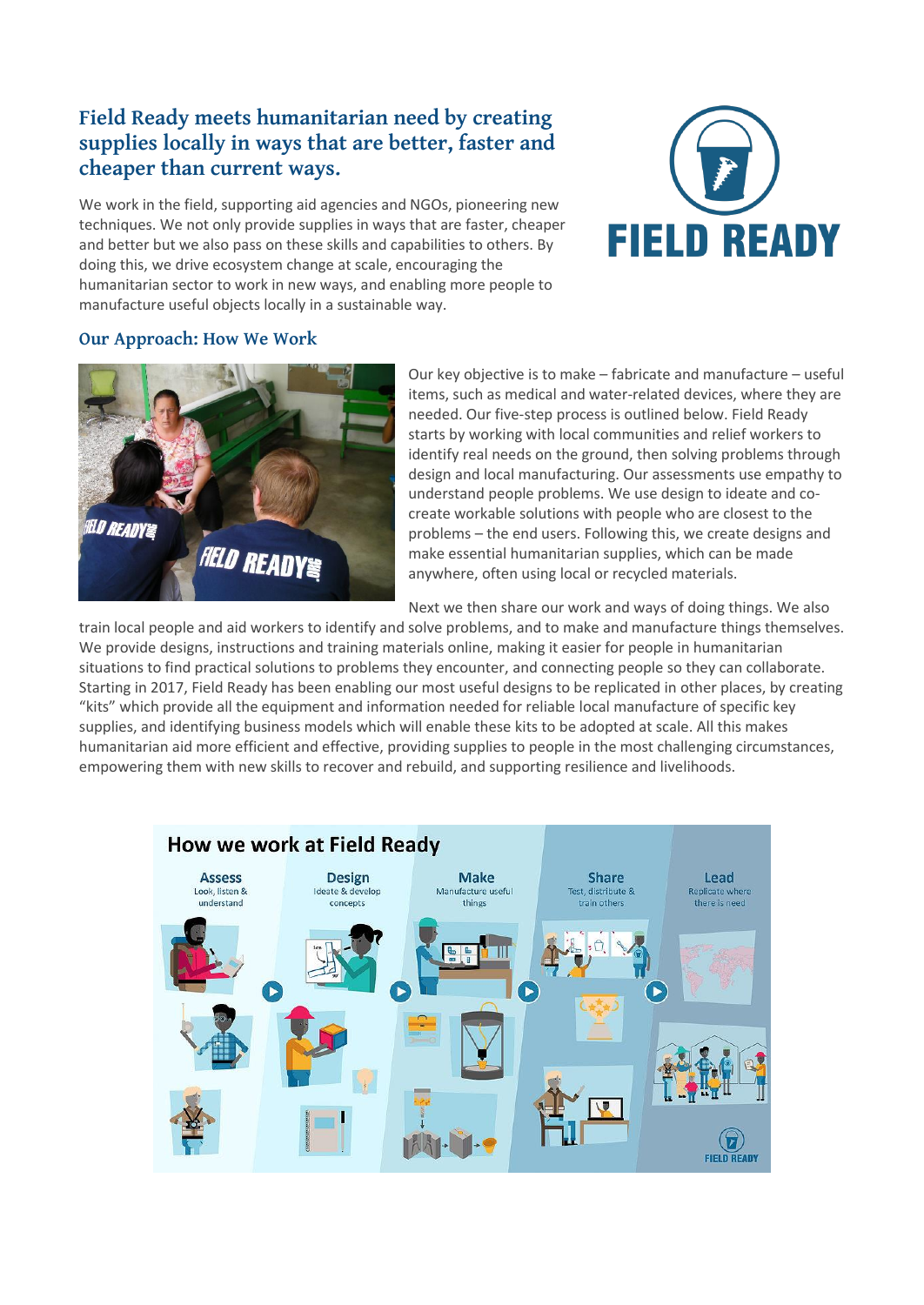# **Field Ready meets humanitarian need by creating supplies locally in ways that are better, faster and cheaper than current ways.**

We work in the field, supporting aid agencies and NGOs, pioneering new techniques. We not only provide supplies in ways that are faster, cheaper and better but we also pass on these skills and capabilities to others. By doing this, we drive ecosystem change at scale, encouraging the humanitarian sector to work in new ways, and enabling more people to manufacture useful objects locally in a sustainable way.



## **Our Approach: How We Work**



Our key objective is to make – fabricate and manufacture – useful items, such as medical and water-related devices, where they are needed. Our five-step process is outlined below. Field Ready starts by working with local communities and relief workers to identify real needs on the ground, then solving problems through design and local manufacturing. Our assessments use empathy to understand people problems. We use design to ideate and cocreate workable solutions with people who are closest to the problems – the end users. Following this, we create designs and make essential humanitarian supplies, which can be made anywhere, often using local or recycled materials.

Next we then share our work and ways of doing things. We also

train local people and aid workers to identify and solve problems, and to make and manufacture things themselves. We provide designs, instructions and training materials online, making it easier for people in humanitarian situations to find practical solutions to problems they encounter, and connecting people so they can collaborate. Starting in 2017, Field Ready has been enabling our most useful designs to be replicated in other places, by creating "kits" which provide all the equipment and information needed for reliable local manufacture of specific key supplies, and identifying business models which will enable these kits to be adopted at scale. All this makes humanitarian aid more efficient and effective, providing supplies to people in the most challenging circumstances, empowering them with new skills to recover and rebuild, and supporting resilience and livelihoods.

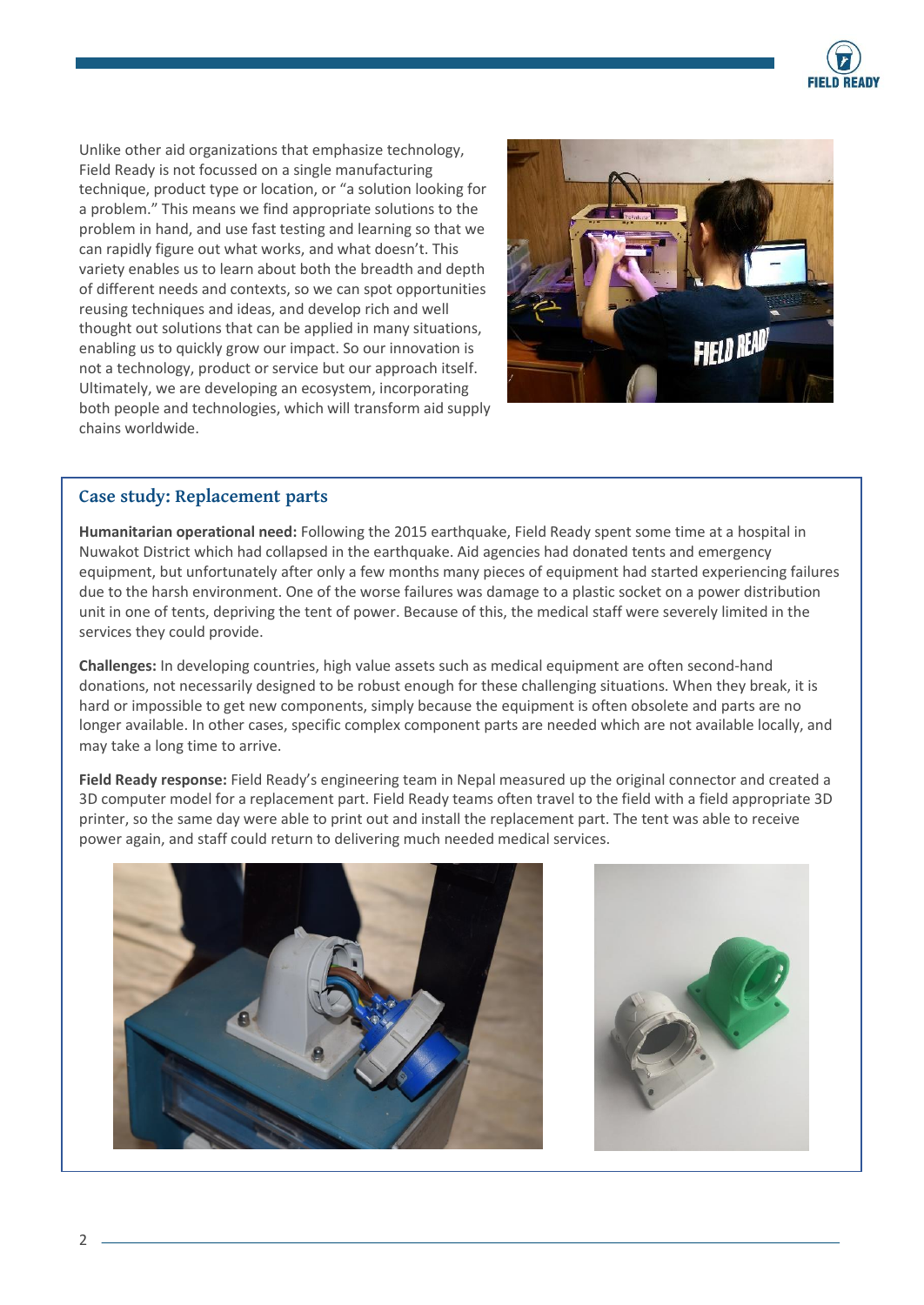

Unlike other aid organizations that emphasize technology, Field Ready is not focussed on a single manufacturing technique, product type or location, or "a solution looking for a problem." This means we find appropriate solutions to the problem in hand, and use fast testing and learning so that we can rapidly figure out what works, and what doesn't. This variety enables us to learn about both the breadth and depth of different needs and contexts, so we can spot opportunities reusing techniques and ideas, and develop rich and well thought out solutions that can be applied in many situations, enabling us to quickly grow our impact. So our innovation is not a technology, product or service but our approach itself. Ultimately, we are developing an ecosystem, incorporating both people and technologies, which will transform aid supply chains worldwide.



## **Case study: Replacement parts**

**Humanitarian operational need:** Following the 2015 earthquake, Field Ready spent some time at a hospital in Nuwakot District which had collapsed in the earthquake. Aid agencies had donated tents and emergency equipment, but unfortunately after only a few months many pieces of equipment had started experiencing failures due to the harsh environment. One of the worse failures was damage to a plastic socket on a power distribution unit in one of tents, depriving the tent of power. Because of this, the medical staff were severely limited in the services they could provide.

**Challenges:** In developing countries, high value assets such as medical equipment are often second-hand donations, not necessarily designed to be robust enough for these challenging situations. When they break, it is hard or impossible to get new components, simply because the equipment is often obsolete and parts are no longer available. In other cases, specific complex component parts are needed which are not available locally, and may take a long time to arrive.

**Field Ready response:** Field Ready's engineering team in Nepal measured up the original connector and created a 3D computer model for a replacement part. Field Ready teams often travel to the field with a field appropriate 3D printer, so the same day were able to print out and install the replacement part. The tent was able to receive power again, and staff could return to delivering much needed medical services.



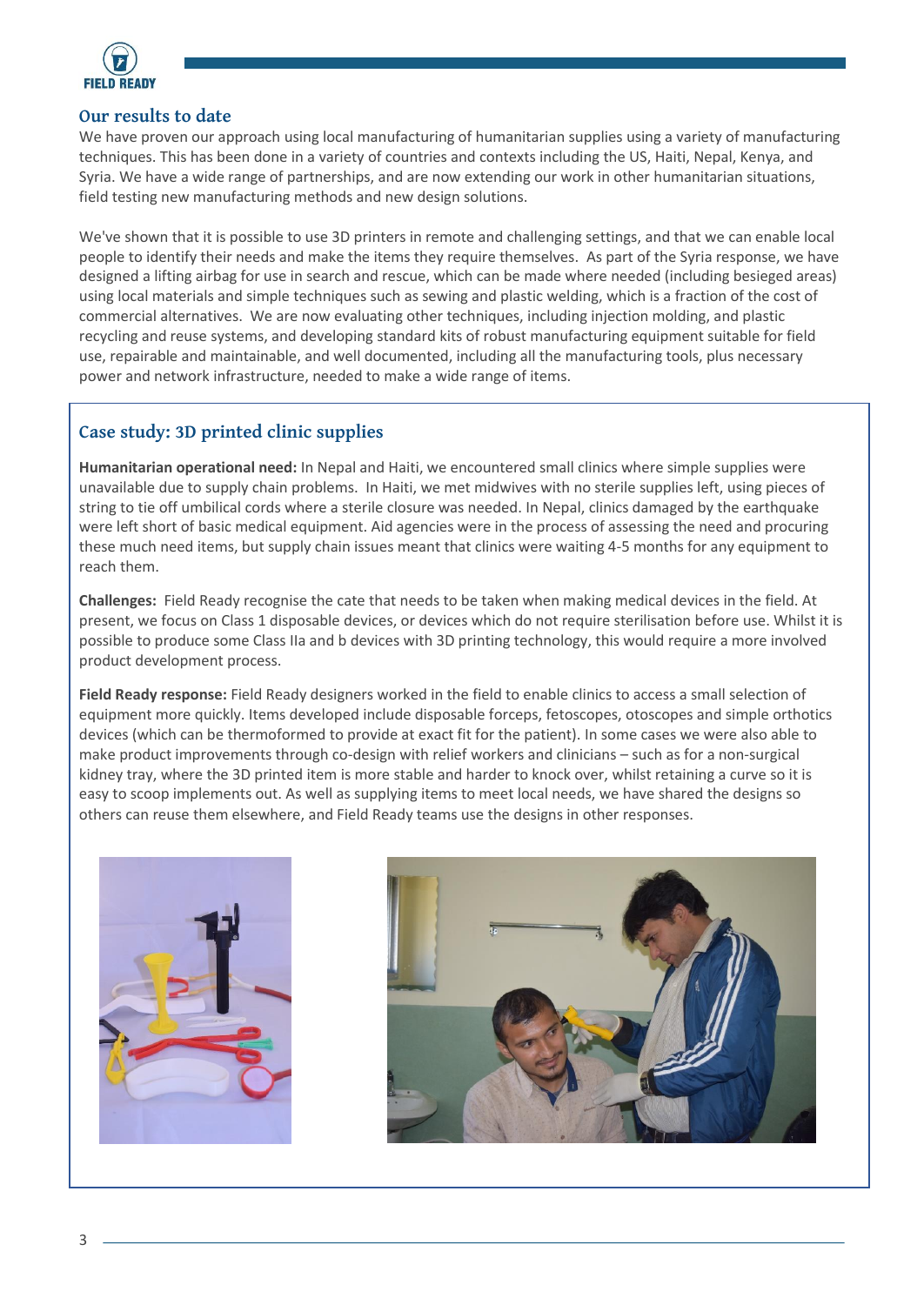

#### **Our results to date**

We have proven our approach using local manufacturing of humanitarian supplies using a variety of manufacturing techniques. This has been done in a variety of countries and contexts including the US, Haiti, Nepal, Kenya, and Syria. We have a wide range of partnerships, and are now extending our work in other humanitarian situations, field testing new manufacturing methods and new design solutions.

We've shown that it is possible to use 3D printers in remote and challenging settings, and that we can enable local people to identify their needs and make the items they require themselves. As part of the Syria response, we have designed a lifting airbag for use in search and rescue, which can be made where needed (including besieged areas) using local materials and simple techniques such as sewing and plastic welding, which is a fraction of the cost of commercial alternatives. We are now evaluating other techniques, including injection molding, and plastic recycling and reuse systems, and developing standard kits of robust manufacturing equipment suitable for field use, repairable and maintainable, and well documented, including all the manufacturing tools, plus necessary power and network infrastructure, needed to make a wide range of items.

# **Case study: 3D printed clinic supplies**

**Humanitarian operational need:** In Nepal and Haiti, we encountered small clinics where simple supplies were unavailable due to supply chain problems. In Haiti, we met midwives with no sterile supplies left, using pieces of string to tie off umbilical cords where a sterile closure was needed. In Nepal, clinics damaged by the earthquake were left short of basic medical equipment. Aid agencies were in the process of assessing the need and procuring these much need items, but supply chain issues meant that clinics were waiting 4-5 months for any equipment to reach them.

**Challenges:** Field Ready recognise the cate that needs to be taken when making medical devices in the field. At present, we focus on Class 1 disposable devices, or devices which do not require sterilisation before use. Whilst it is possible to produce some Class IIa and b devices with 3D printing technology, this would require a more involved product development process.

**Field Ready response:** Field Ready designers worked in the field to enable clinics to access a small selection of equipment more quickly. Items developed include disposable forceps, fetoscopes, otoscopes and simple orthotics devices (which can be thermoformed to provide at exact fit for the patient). In some cases we were also able to make product improvements through co-design with relief workers and clinicians – such as for a non-surgical kidney tray, where the 3D printed item is more stable and harder to knock over, whilst retaining a curve so it is easy to scoop implements out. As well as supplying items to meet local needs, we have shared the designs so others can reuse them elsewhere, and Field Ready teams use the designs in other responses.



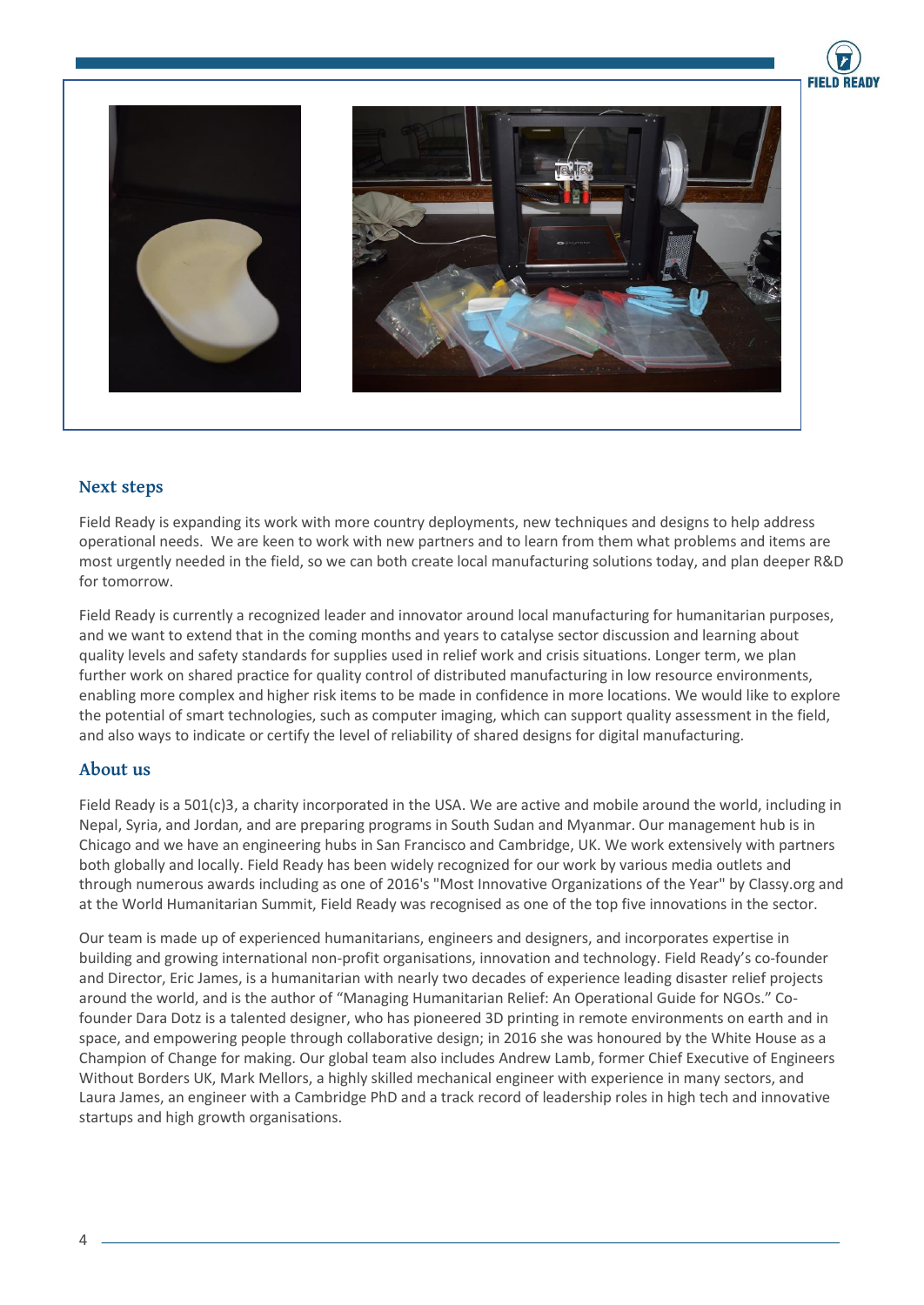



#### **Next steps**

Field Ready is expanding its work with more country deployments, new techniques and designs to help address operational needs. We are keen to work with new partners and to learn from them what problems and items are most urgently needed in the field, so we can both create local manufacturing solutions today, and plan deeper R&D for tomorrow.

Field Ready is currently a recognized leader and innovator around local manufacturing for humanitarian purposes, and we want to extend that in the coming months and years to catalyse sector discussion and learning about quality levels and safety standards for supplies used in relief work and crisis situations. Longer term, we plan further work on shared practice for quality control of distributed manufacturing in low resource environments, enabling more complex and higher risk items to be made in confidence in more locations. We would like to explore the potential of smart technologies, such as computer imaging, which can support quality assessment in the field, and also ways to indicate or certify the level of reliability of shared designs for digital manufacturing.

#### **About us**

Field Ready is a 501(c)3, a charity incorporated in the USA. We are active and mobile around the world, including in Nepal, Syria, and Jordan, and are preparing programs in South Sudan and Myanmar. Our management hub is in Chicago and we have an engineering hubs in San Francisco and Cambridge, UK. We work extensively with partners both globally and locally. Field Ready has been widely recognized for our work by various media outlets and through numerous awards including as one of 2016's "Most Innovative Organizations of the Year" by Classy.org and at the World Humanitarian Summit, Field Ready was recognised as one of the top five innovations in the sector.

Our team is made up of experienced humanitarians, engineers and designers, and incorporates expertise in building and growing international non-profit organisations, innovation and technology. Field Ready's co-founder and Director, Eric James, is a humanitarian with nearly two decades of experience leading disaster relief projects around the world, and is the author of "Managing Humanitarian Relief: An Operational Guide for NGOs." Cofounder Dara Dotz is a talented designer, who has pioneered 3D printing in remote environments on earth and in space, and empowering people through collaborative design; in 2016 she was honoured by the White House as a Champion of Change for making. Our global team also includes Andrew Lamb, former Chief Executive of Engineers Without Borders UK, Mark Mellors, a highly skilled mechanical engineer with experience in many sectors, and Laura James, an engineer with a Cambridge PhD and a track record of leadership roles in high tech and innovative startups and high growth organisations.